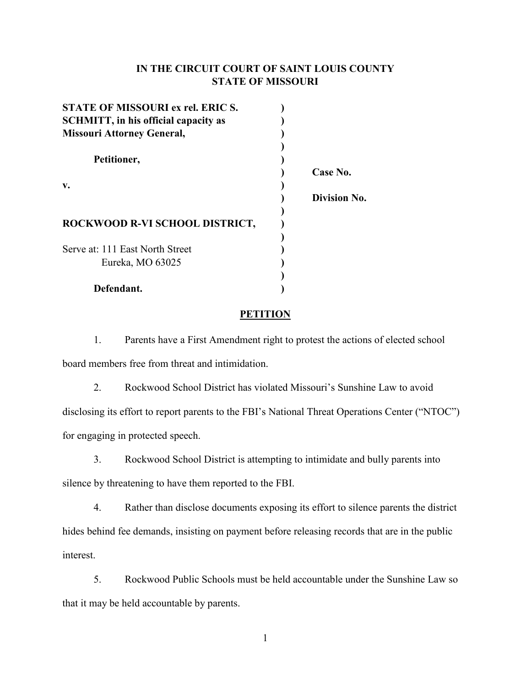# **IN THE CIRCUIT COURT OF SAINT LOUIS COUNTY STATE OF MISSOURI**

| STATE OF MISSOURI ex rel. ERIC S.            |              |
|----------------------------------------------|--------------|
| <b>SCHMITT</b> , in his official capacity as |              |
| <b>Missouri Attorney General,</b>            |              |
|                                              |              |
| Petitioner,                                  |              |
|                                              | Case No.     |
| v.                                           |              |
|                                              | Division No. |
|                                              |              |
| ROCKWOOD R-VI SCHOOL DISTRICT,               |              |
|                                              |              |
| Serve at: 111 East North Street              |              |
| Eureka, MO 63025                             |              |
|                                              |              |
| Defendant.                                   |              |

## **PETITION**

1. Parents have a First Amendment right to protest the actions of elected school board members free from threat and intimidation.

2. Rockwood School District has violated Missouri's Sunshine Law to avoid disclosing its effort to report parents to the FBI's National Threat Operations Center ("NTOC") for engaging in protected speech.

3. Rockwood School District is attempting to intimidate and bully parents into silence by threatening to have them reported to the FBI.

4. Rather than disclose documents exposing its effort to silence parents the district hides behind fee demands, insisting on payment before releasing records that are in the public interest.

5. Rockwood Public Schools must be held accountable under the Sunshine Law so that it may be held accountable by parents.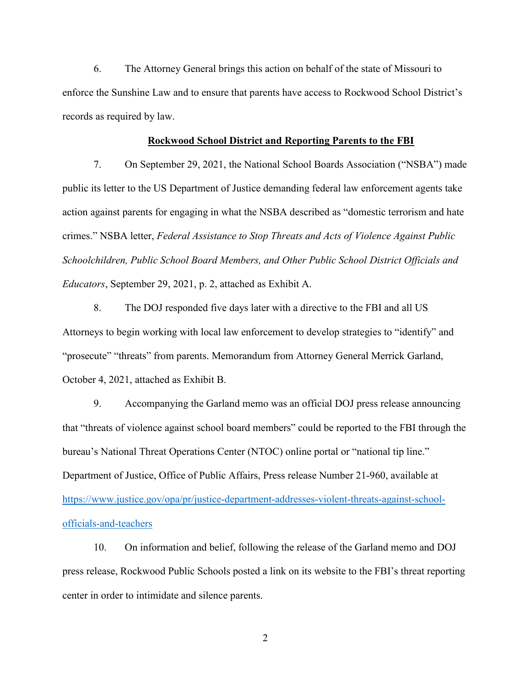6. The Attorney General brings this action on behalf of the state of Missouri to enforce the Sunshine Law and to ensure that parents have access to Rockwood School District's records as required by law.

### **Rockwood School District and Reporting Parents to the FBI**

7. On September 29, 2021, the National School Boards Association ("NSBA") made public its letter to the US Department of Justice demanding federal law enforcement agents take action against parents for engaging in what the NSBA described as "domestic terrorism and hate crimes." NSBA letter, *Federal Assistance to Stop Threats and Acts of Violence Against Public Schoolchildren, Public School Board Members, and Other Public School District Officials and Educators*, September 29, 2021, p. 2, attached as Exhibit A.

8. The DOJ responded five days later with a directive to the FBI and all US Attorneys to begin working with local law enforcement to develop strategies to "identify" and "prosecute" "threats" from parents. Memorandum from Attorney General Merrick Garland, October 4, 2021, attached as Exhibit B.

9. Accompanying the Garland memo was an official DOJ press release announcing that "threats of violence against school board members" could be reported to the FBI through the bureau's National Threat Operations Center (NTOC) online portal or "national tip line." Department of Justice, Office of Public Affairs, Press release Number 21-960, available at [https://www.justice.gov/opa/pr/justice-department-addresses-violent-threats-against-school](https://www.justice.gov/opa/pr/justice-department-addresses-violent-threats-against-school-officials-and-teachers)[officials-and-teachers](https://www.justice.gov/opa/pr/justice-department-addresses-violent-threats-against-school-officials-and-teachers) 

10. On information and belief, following the release of the Garland memo and DOJ press release, Rockwood Public Schools posted a link on its website to the FBI's threat reporting center in order to intimidate and silence parents.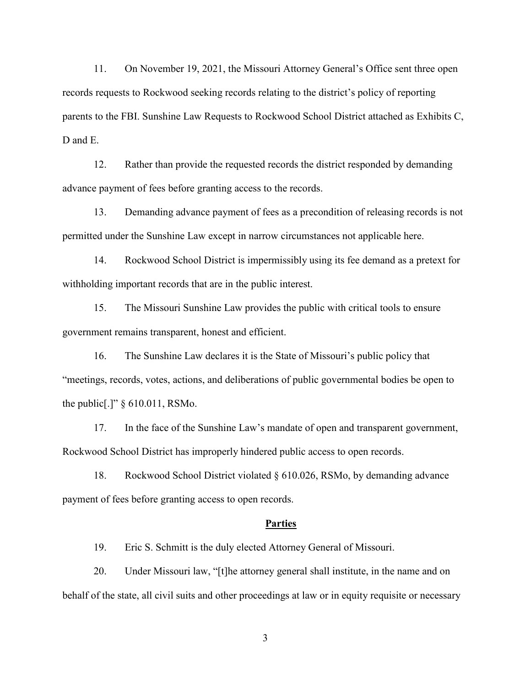11. On November 19, 2021, the Missouri Attorney General's Office sent three open records requests to Rockwood seeking records relating to the district's policy of reporting parents to the FBI. Sunshine Law Requests to Rockwood School District attached as Exhibits C, D and E.

12. Rather than provide the requested records the district responded by demanding advance payment of fees before granting access to the records.

13. Demanding advance payment of fees as a precondition of releasing records is not permitted under the Sunshine Law except in narrow circumstances not applicable here.

14. Rockwood School District is impermissibly using its fee demand as a pretext for withholding important records that are in the public interest.

15. The Missouri Sunshine Law provides the public with critical tools to ensure government remains transparent, honest and efficient.

16. The Sunshine Law declares it is the State of Missouri's public policy that "meetings, records, votes, actions, and deliberations of public governmental bodies be open to the public[.]" § 610.011, RSMo.

17. In the face of the Sunshine Law's mandate of open and transparent government, Rockwood School District has improperly hindered public access to open records.

18. Rockwood School District violated § 610.026, RSMo, by demanding advance payment of fees before granting access to open records.

#### **Parties**

19. Eric S. Schmitt is the duly elected Attorney General of Missouri.

20. Under Missouri law, "[t]he attorney general shall institute, in the name and on behalf of the state, all civil suits and other proceedings at law or in equity requisite or necessary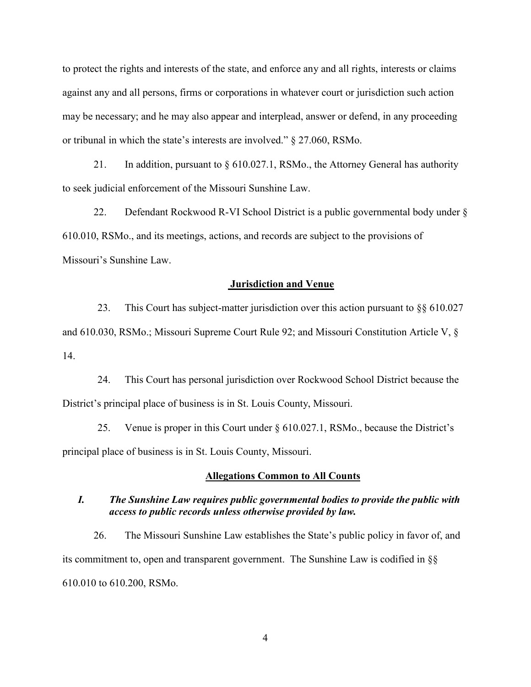to protect the rights and interests of the state, and enforce any and all rights, interests or claims against any and all persons, firms or corporations in whatever court or jurisdiction such action may be necessary; and he may also appear and interplead, answer or defend, in any proceeding or tribunal in which the state's interests are involved." § 27.060, RSMo.

21. In addition, pursuant to § 610.027.1, RSMo., the Attorney General has authority to seek judicial enforcement of the Missouri Sunshine Law.

22. Defendant Rockwood R-VI School District is a public governmental body under § 610.010, RSMo., and its meetings, actions, and records are subject to the provisions of Missouri's Sunshine Law.

#### **Jurisdiction and Venue**

23. This Court has subject-matter jurisdiction over this action pursuant to §§ 610.027 and 610.030, RSMo.; Missouri Supreme Court Rule 92; and Missouri Constitution Article V, § 14.

24. This Court has personal jurisdiction over Rockwood School District because the District's principal place of business is in St. Louis County, Missouri.

25. Venue is proper in this Court under § 610.027.1, RSMo., because the District's principal place of business is in St. Louis County, Missouri.

### **Allegations Common to All Counts**

## *I. The Sunshine Law requires public governmental bodies to provide the public with access to public records unless otherwise provided by law.*

26. The Missouri Sunshine Law establishes the State's public policy in favor of, and its commitment to, open and transparent government. The Sunshine Law is codified in §§ 610.010 to 610.200, RSMo.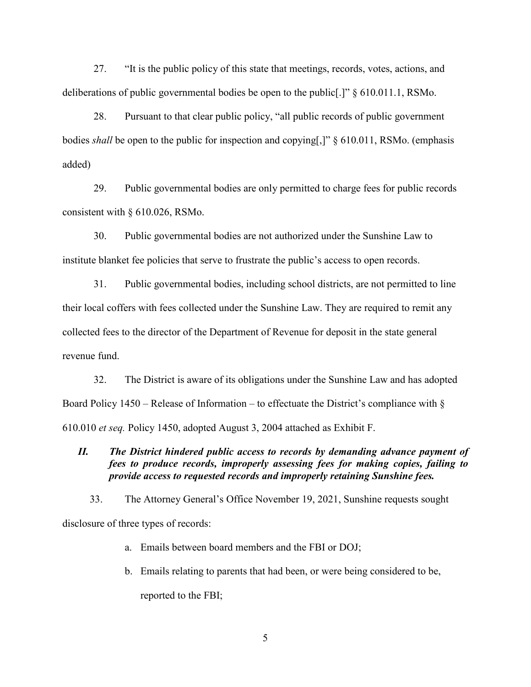27. "It is the public policy of this state that meetings, records, votes, actions, and deliberations of public governmental bodies be open to the public[.]" § 610.011.1, RSMo.

28. Pursuant to that clear public policy, "all public records of public government bodies *shall* be open to the public for inspection and copying[,]" § 610.011, RSMo. (emphasis added)

29. Public governmental bodies are only permitted to charge fees for public records consistent with § 610.026, RSMo.

30. Public governmental bodies are not authorized under the Sunshine Law to institute blanket fee policies that serve to frustrate the public's access to open records.

31. Public governmental bodies, including school districts, are not permitted to line their local coffers with fees collected under the Sunshine Law. They are required to remit any collected fees to the director of the Department of Revenue for deposit in the state general revenue fund.

32. The District is aware of its obligations under the Sunshine Law and has adopted Board Policy 1450 – Release of Information – to effectuate the District's compliance with  $\S$ 610.010 *et seq.* Policy 1450, adopted August 3, 2004 attached as Exhibit F.

*II. The District hindered public access to records by demanding advance payment of fees to produce records, improperly assessing fees for making copies, failing to provide access to requested records and improperly retaining Sunshine fees.*

33. The Attorney General's Office November 19, 2021, Sunshine requests sought disclosure of three types of records:

- a. Emails between board members and the FBI or DOJ;
- b. Emails relating to parents that had been, or were being considered to be, reported to the FBI;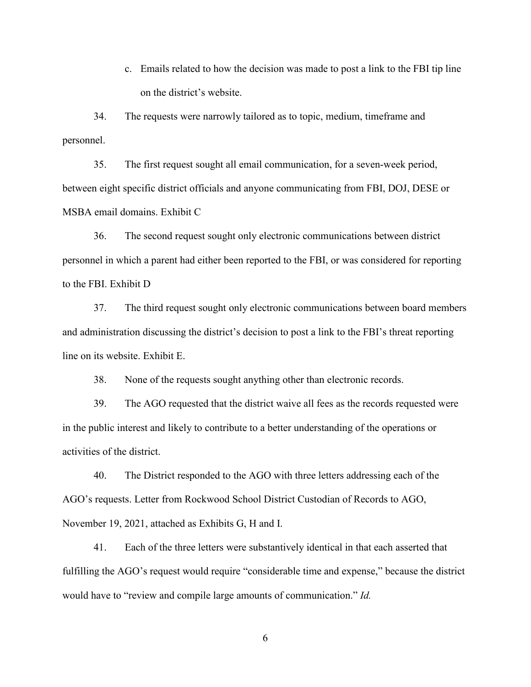c. Emails related to how the decision was made to post a link to the FBI tip line on the district's website.

34. The requests were narrowly tailored as to topic, medium, timeframe and personnel.

35. The first request sought all email communication, for a seven-week period, between eight specific district officials and anyone communicating from FBI, DOJ, DESE or MSBA email domains. Exhibit C

36. The second request sought only electronic communications between district personnel in which a parent had either been reported to the FBI, or was considered for reporting to the FBI. Exhibit D

37. The third request sought only electronic communications between board members and administration discussing the district's decision to post a link to the FBI's threat reporting line on its website. Exhibit E.

38. None of the requests sought anything other than electronic records.

39. The AGO requested that the district waive all fees as the records requested were in the public interest and likely to contribute to a better understanding of the operations or activities of the district.

40. The District responded to the AGO with three letters addressing each of the AGO's requests. Letter from Rockwood School District Custodian of Records to AGO, November 19, 2021, attached as Exhibits G, H and I.

41. Each of the three letters were substantively identical in that each asserted that fulfilling the AGO's request would require "considerable time and expense," because the district would have to "review and compile large amounts of communication." *Id.*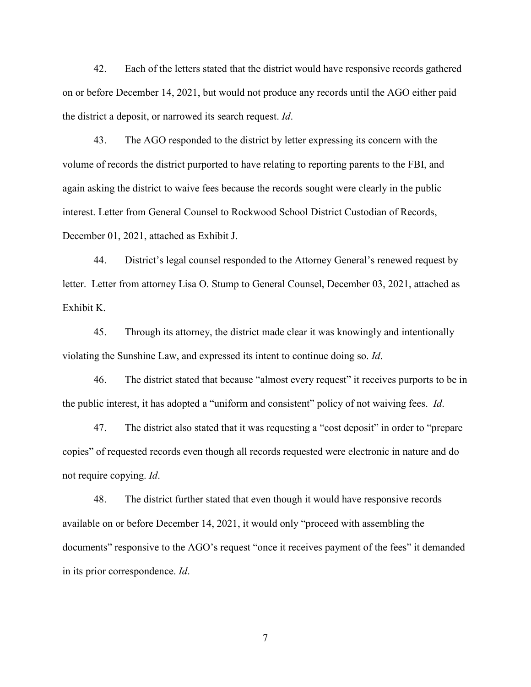42. Each of the letters stated that the district would have responsive records gathered on or before December 14, 2021, but would not produce any records until the AGO either paid the district a deposit, or narrowed its search request. *Id*.

43. The AGO responded to the district by letter expressing its concern with the volume of records the district purported to have relating to reporting parents to the FBI, and again asking the district to waive fees because the records sought were clearly in the public interest. Letter from General Counsel to Rockwood School District Custodian of Records, December 01, 2021, attached as Exhibit J.

44. District's legal counsel responded to the Attorney General's renewed request by letter. Letter from attorney Lisa O. Stump to General Counsel, December 03, 2021, attached as Exhibit K.

45. Through its attorney, the district made clear it was knowingly and intentionally violating the Sunshine Law, and expressed its intent to continue doing so. *Id*.

46. The district stated that because "almost every request" it receives purports to be in the public interest, it has adopted a "uniform and consistent" policy of not waiving fees. *Id*.

47. The district also stated that it was requesting a "cost deposit" in order to "prepare copies" of requested records even though all records requested were electronic in nature and do not require copying. *Id*.

48. The district further stated that even though it would have responsive records available on or before December 14, 2021, it would only "proceed with assembling the documents" responsive to the AGO's request "once it receives payment of the fees" it demanded in its prior correspondence. *Id*.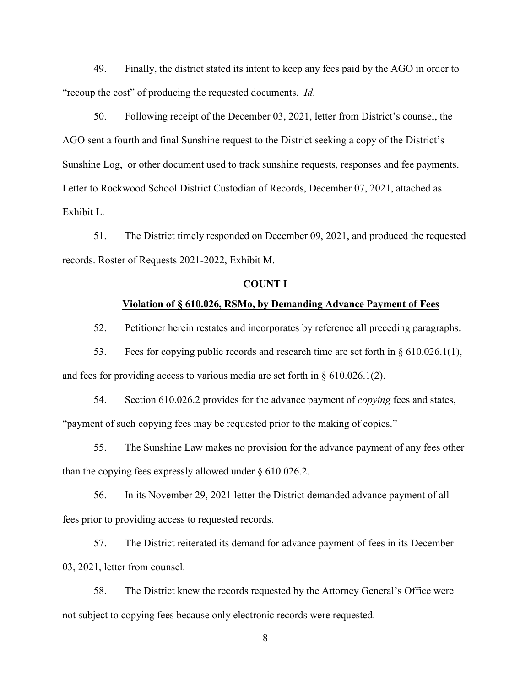49. Finally, the district stated its intent to keep any fees paid by the AGO in order to "recoup the cost" of producing the requested documents. *Id*.

50. Following receipt of the December 03, 2021, letter from District's counsel, the AGO sent a fourth and final Sunshine request to the District seeking a copy of the District's Sunshine Log, or other document used to track sunshine requests, responses and fee payments. Letter to Rockwood School District Custodian of Records, December 07, 2021, attached as Exhibit L.

51. The District timely responded on December 09, 2021, and produced the requested records. Roster of Requests 2021-2022, Exhibit M.

## **COUNT I**

#### **Violation of § 610.026, RSMo, by Demanding Advance Payment of Fees**

52. Petitioner herein restates and incorporates by reference all preceding paragraphs.

53. Fees for copying public records and research time are set forth in § 610.026.1(1), and fees for providing access to various media are set forth in  $\S 610.026.1(2)$ .

54. Section 610.026.2 provides for the advance payment of *copying* fees and states, "payment of such copying fees may be requested prior to the making of copies."

55. The Sunshine Law makes no provision for the advance payment of any fees other than the copying fees expressly allowed under § 610.026.2.

56. In its November 29, 2021 letter the District demanded advance payment of all fees prior to providing access to requested records.

57. The District reiterated its demand for advance payment of fees in its December 03, 2021, letter from counsel.

58. The District knew the records requested by the Attorney General's Office were not subject to copying fees because only electronic records were requested.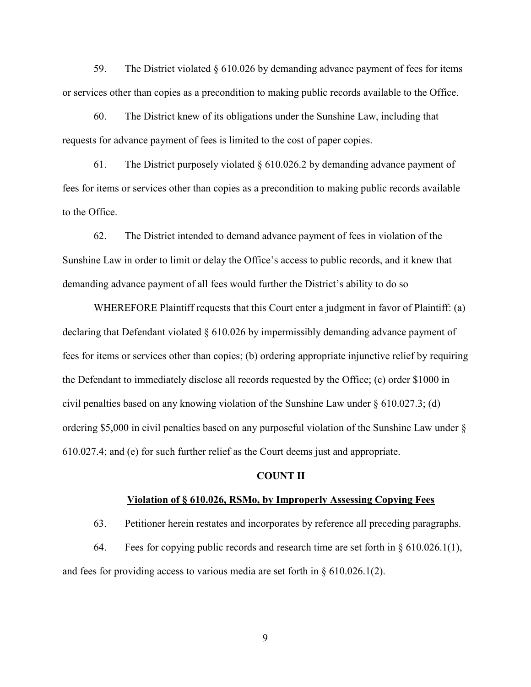59. The District violated § 610.026 by demanding advance payment of fees for items or services other than copies as a precondition to making public records available to the Office.

60. The District knew of its obligations under the Sunshine Law, including that requests for advance payment of fees is limited to the cost of paper copies.

61. The District purposely violated  $\S 610.026.2$  by demanding advance payment of fees for items or services other than copies as a precondition to making public records available to the Office.

62. The District intended to demand advance payment of fees in violation of the Sunshine Law in order to limit or delay the Office's access to public records, and it knew that demanding advance payment of all fees would further the District's ability to do so

WHEREFORE Plaintiff requests that this Court enter a judgment in favor of Plaintiff: (a) declaring that Defendant violated § 610.026 by impermissibly demanding advance payment of fees for items or services other than copies; (b) ordering appropriate injunctive relief by requiring the Defendant to immediately disclose all records requested by the Office; (c) order \$1000 in civil penalties based on any knowing violation of the Sunshine Law under § 610.027.3; (d) ordering \$5,000 in civil penalties based on any purposeful violation of the Sunshine Law under § 610.027.4; and (e) for such further relief as the Court deems just and appropriate.

## **COUNT II**

#### **Violation of § 610.026, RSMo, by Improperly Assessing Copying Fees**

63. Petitioner herein restates and incorporates by reference all preceding paragraphs.

64. Fees for copying public records and research time are set forth in § 610.026.1(1), and fees for providing access to various media are set forth in § 610.026.1(2).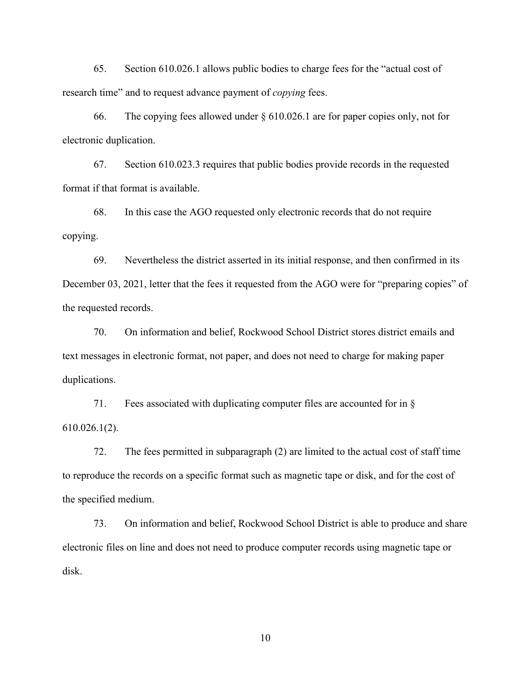65. Section 610.026.1 allows public bodies to charge fees for the "actual cost of research time" and to request advance payment of *copying* fees.

66. The copying fees allowed under § 610.026.1 are for paper copies only, not for electronic duplication.

67. Section 610.023.3 requires that public bodies provide records in the requested format if that format is available.

68. In this case the AGO requested only electronic records that do not require copying.

69. Nevertheless the district asserted in its initial response, and then confirmed in its December 03, 2021, letter that the fees it requested from the AGO were for "preparing copies" of the requested records.

70. On information and belief, Rockwood School District stores district emails and text messages in electronic format, not paper, and does not need to charge for making paper duplications.

71. Fees associated with duplicating computer files are accounted for in § 610.026.1(2).

72. The fees permitted in subparagraph (2) are limited to the actual cost of staff time to reproduce the records on a specific format such as magnetic tape or disk, and for the cost of the specified medium.

73. On information and belief, Rockwood School District is able to produce and share electronic files on line and does not need to produce computer records using magnetic tape or disk.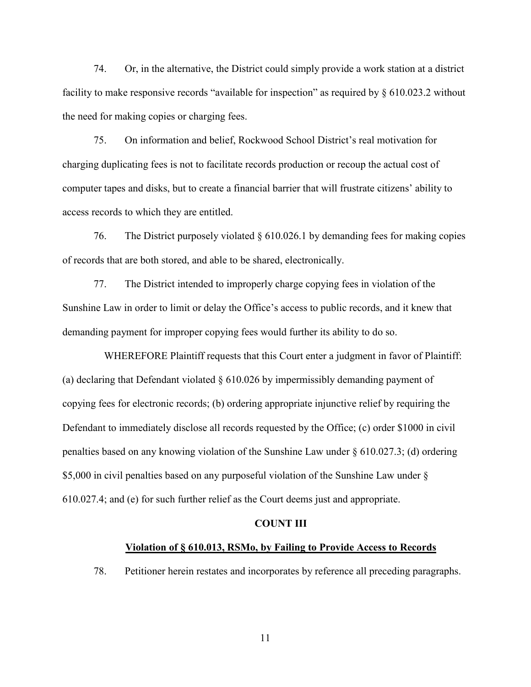74. Or, in the alternative, the District could simply provide a work station at a district facility to make responsive records "available for inspection" as required by § 610.023.2 without the need for making copies or charging fees.

75. On information and belief, Rockwood School District's real motivation for charging duplicating fees is not to facilitate records production or recoup the actual cost of computer tapes and disks, but to create a financial barrier that will frustrate citizens' ability to access records to which they are entitled.

76. The District purposely violated § 610.026.1 by demanding fees for making copies of records that are both stored, and able to be shared, electronically.

77. The District intended to improperly charge copying fees in violation of the Sunshine Law in order to limit or delay the Office's access to public records, and it knew that demanding payment for improper copying fees would further its ability to do so.

 WHEREFORE Plaintiff requests that this Court enter a judgment in favor of Plaintiff: (a) declaring that Defendant violated § 610.026 by impermissibly demanding payment of copying fees for electronic records; (b) ordering appropriate injunctive relief by requiring the Defendant to immediately disclose all records requested by the Office; (c) order \$1000 in civil penalties based on any knowing violation of the Sunshine Law under § 610.027.3; (d) ordering \$5,000 in civil penalties based on any purposeful violation of the Sunshine Law under § 610.027.4; and (e) for such further relief as the Court deems just and appropriate.

#### **COUNT III**

## **Violation of § 610.013, RSMo, by Failing to Provide Access to Records**

78. Petitioner herein restates and incorporates by reference all preceding paragraphs.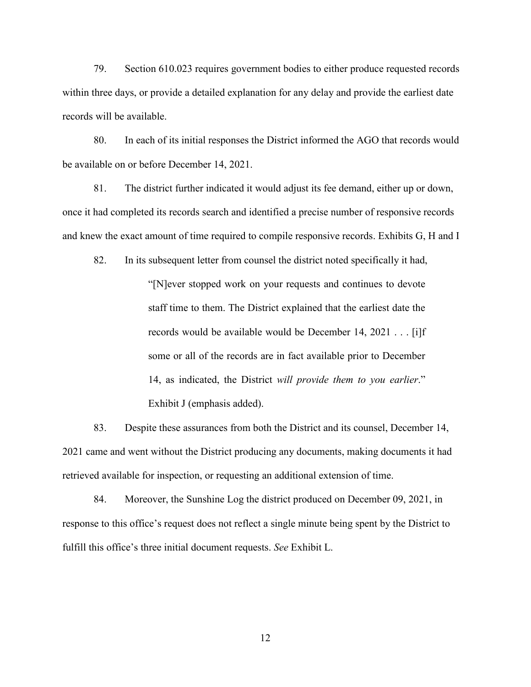79. Section 610.023 requires government bodies to either produce requested records within three days, or provide a detailed explanation for any delay and provide the earliest date records will be available.

80. In each of its initial responses the District informed the AGO that records would be available on or before December 14, 2021.

81. The district further indicated it would adjust its fee demand, either up or down, once it had completed its records search and identified a precise number of responsive records and knew the exact amount of time required to compile responsive records. Exhibits G, H and I

82. In its subsequent letter from counsel the district noted specifically it had,

"[N]ever stopped work on your requests and continues to devote staff time to them. The District explained that the earliest date the records would be available would be December 14, 2021 . . . [i]f some or all of the records are in fact available prior to December 14, as indicated, the District *will provide them to you earlier*." Exhibit J (emphasis added).

83. Despite these assurances from both the District and its counsel, December 14, 2021 came and went without the District producing any documents, making documents it had retrieved available for inspection, or requesting an additional extension of time.

84. Moreover, the Sunshine Log the district produced on December 09, 2021, in response to this office's request does not reflect a single minute being spent by the District to fulfill this office's three initial document requests. *See* Exhibit L.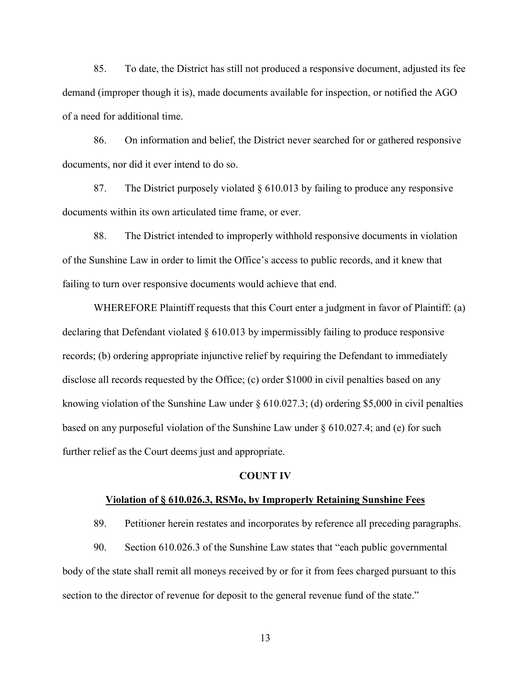85. To date, the District has still not produced a responsive document, adjusted its fee demand (improper though it is), made documents available for inspection, or notified the AGO of a need for additional time.

86. On information and belief, the District never searched for or gathered responsive documents, nor did it ever intend to do so.

87. The District purposely violated § 610.013 by failing to produce any responsive documents within its own articulated time frame, or ever.

88. The District intended to improperly withhold responsive documents in violation of the Sunshine Law in order to limit the Office's access to public records, and it knew that failing to turn over responsive documents would achieve that end.

WHEREFORE Plaintiff requests that this Court enter a judgment in favor of Plaintiff: (a) declaring that Defendant violated § 610.013 by impermissibly failing to produce responsive records; (b) ordering appropriate injunctive relief by requiring the Defendant to immediately disclose all records requested by the Office; (c) order \$1000 in civil penalties based on any knowing violation of the Sunshine Law under § 610.027.3; (d) ordering \$5,000 in civil penalties based on any purposeful violation of the Sunshine Law under § 610.027.4; and (e) for such further relief as the Court deems just and appropriate.

### **COUNT IV**

#### **Violation of § 610.026.3, RSMo, by Improperly Retaining Sunshine Fees**

89. Petitioner herein restates and incorporates by reference all preceding paragraphs.

90. Section 610.026.3 of the Sunshine Law states that "each public governmental body of the state shall remit all moneys received by or for it from fees charged pursuant to this section to the director of revenue for deposit to the general revenue fund of the state."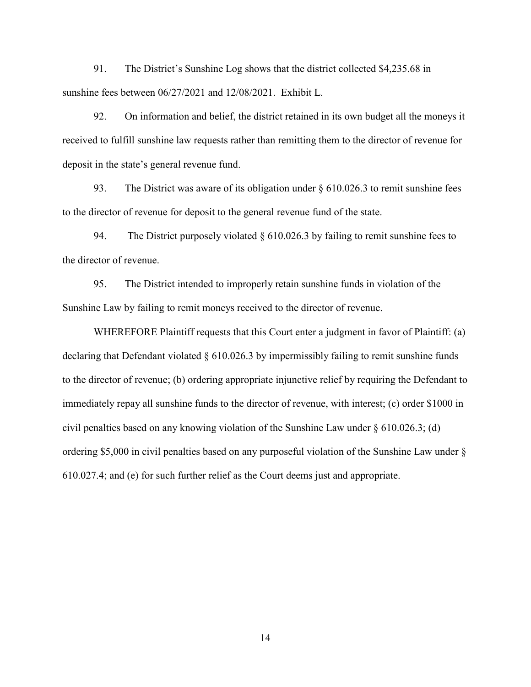91. The District's Sunshine Log shows that the district collected \$4,235.68 in sunshine fees between 06/27/2021 and 12/08/2021. Exhibit L.

92. On information and belief, the district retained in its own budget all the moneys it received to fulfill sunshine law requests rather than remitting them to the director of revenue for deposit in the state's general revenue fund.

93. The District was aware of its obligation under § 610.026.3 to remit sunshine fees to the director of revenue for deposit to the general revenue fund of the state.

94. The District purposely violated  $\S$  610.026.3 by failing to remit sunshine fees to the director of revenue.

95. The District intended to improperly retain sunshine funds in violation of the Sunshine Law by failing to remit moneys received to the director of revenue.

WHEREFORE Plaintiff requests that this Court enter a judgment in favor of Plaintiff: (a) declaring that Defendant violated § 610.026.3 by impermissibly failing to remit sunshine funds to the director of revenue; (b) ordering appropriate injunctive relief by requiring the Defendant to immediately repay all sunshine funds to the director of revenue, with interest; (c) order \$1000 in civil penalties based on any knowing violation of the Sunshine Law under § 610.026.3; (d) ordering \$5,000 in civil penalties based on any purposeful violation of the Sunshine Law under § 610.027.4; and (e) for such further relief as the Court deems just and appropriate.